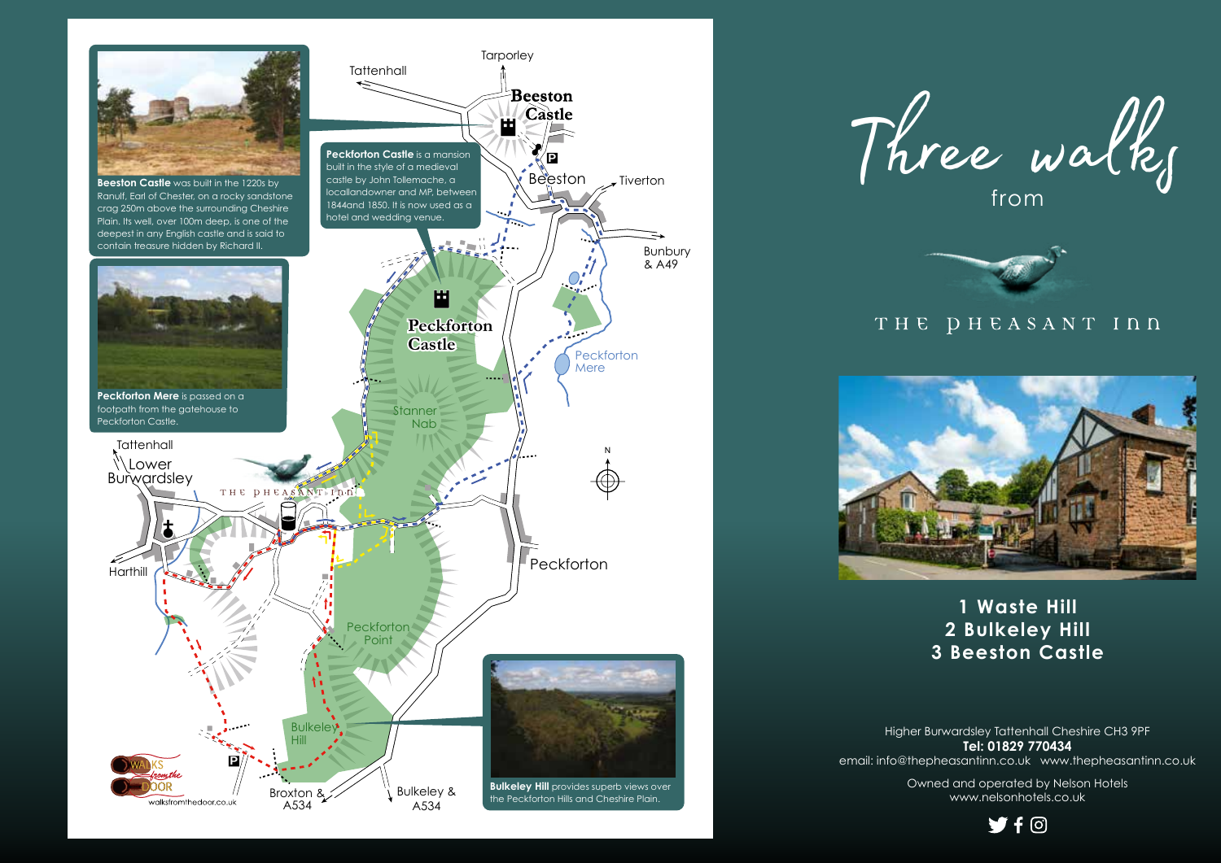





THE DHEASANT INN



**1 Waste Hill 2 Bulkeley Hill 3 Beeston Castle**

Higher Burwardsley Tattenhall Cheshire CH3 9PF **Tel: 01829 770434** email: info@thepheasantinn.co.uk www.thepheasantinn.co.uk

> Owned and operated by Nelson Hotels www.nelsonhotels.co.uk